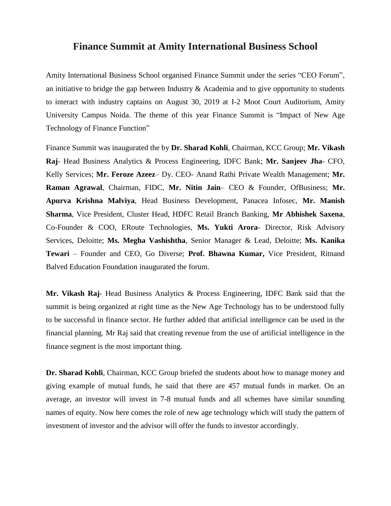## **Finance Summit at Amity International Business School**

Amity International Business School organised Finance Summit under the series "CEO Forum", an initiative to bridge the gap between Industry  $\&$  Academia and to give opportunity to students to interact with industry captains on August 30, 2019 at I-2 Moot Court Auditorium, Amity University Campus Noida. The theme of this year Finance Summit is "Impact of New Age Technology of Finance Function"

Finance Summit was inaugurated the by **Dr. Sharad Kohli**, Chairman, KCC Group; **Mr. Vikash Raj**- Head Business Analytics & Process Engineering, IDFC Bank; **Mr. Sanjeev Jha**- CFO, Kelly Services; **Mr. Feroze Azeez**– Dy. CEO- Anand Rathi Private Wealth Management; **Mr. Raman Agrawal**, Chairman, FIDC, **Mr. Nitin Jain**– CEO & Founder, OfBusiness; **Mr. Apurva Krishna Malviya**, Head Business Development, Panacea Infosec, **Mr. Manish Sharma**, Vice President, Cluster Head, HDFC Retail Branch Banking, **Mr Abhishek Saxena**, Co-Founder & COO, ERoute Technologies, **Ms. Yukti Arora**- Director, Risk Advisory Services, Deloitte; **Ms. Megha Vashishtha**, Senior Manager & Lead, Deloitte; **Ms. Kanika Tewari** – Founder and CEO, Go Diverse; **Prof. Bhawna Kumar,** Vice President, Ritnand Balved Education Foundation inaugurated the forum.

**Mr. Vikash Raj**- Head Business Analytics & Process Engineering, IDFC Bank said that the summit is being organized at right time as the New Age Technology has to be understood fully to be successful in finance sector. He further added that artificial intelligence can be used in the financial planning. Mr Raj said that creating revenue from the use of artificial intelligence in the finance segment is the most important thing.

**Dr. Sharad Kohli**, Chairman, KCC Group briefed the students about how to manage money and giving example of mutual funds, he said that there are 457 mutual funds in market. On an average, an investor will invest in 7-8 mutual funds and all schemes have similar sounding names of equity. Now here comes the role of new age technology which will study the pattern of investment of investor and the advisor will offer the funds to investor accordingly.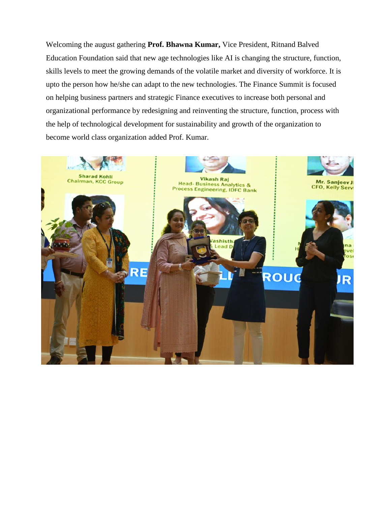Welcoming the august gathering **Prof. Bhawna Kumar,** Vice President, Ritnand Balved Education Foundation said that new age technologies like AI is changing the structure, function, skills levels to meet the growing demands of the volatile market and diversity of workforce. It is upto the person how he/she can adapt to the new technologies. The Finance Summit is focused on helping business partners and strategic Finance executives to increase both personal and organizational performance by redesigning and reinventing the structure, function, process with the help of technological development for sustainability and growth of the organization to become world class organization added Prof. Kumar.